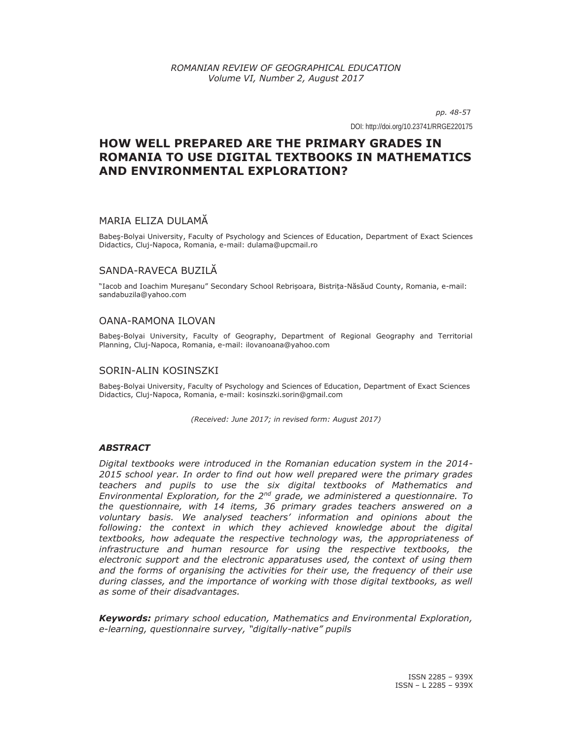*pp. 48-57*

DOI: http://doi.org/10.23741/RRGE220175

# **HOW WELL PREPARED ARE THE PRIMARY GRADES IN ROMANIA TO USE DIGITAL TEXTBOOKS IN MATHEMATICS AND ENVIRONMENTAL EXPLORATION?**

# MARIA ELIZA DULAMĂ

Babeş-Bolyai University, Faculty of Psychology and Sciences of Education, Department of Exact Sciences Didactics, Cluj-Napoca, Romania, e-mail: dulama@upcmail.ro

# SANDA-RAVECA BUZILĂ

"Iacob and Ioachim Mureșanu" Secondary School Rebrișoara, Bistrița-Năsăud County, Romania, e-mail: sandabuzila@yahoo.com

# OANA-RAMONA ILOVAN

Babeş-Bolyai University, Faculty of Geography, Department of Regional Geography and Territorial Planning, Cluj-Napoca, Romania, e-mail: ilovanoana@yahoo.com

### SORIN-ALIN KOSINSZKI

Babeş-Bolyai University, Faculty of Psychology and Sciences of Education, Department of Exact Sciences Didactics, Cluj-Napoca, Romania, e-mail: kosinszki.sorin@gmail.com

*(Received: June 2017; in revised form: August 2017)* 

# *ABSTRACT*

*Digital textbooks were introduced in the Romanian education system in the 2014- 2015 school year. In order to find out how well prepared were the primary grades teachers and pupils to use the six digital textbooks of Mathematics and Environmental Exploration, for the 2nd grade, we administered a questionnaire. To the questionnaire, with 14 items, 36 primary grades teachers answered on a voluntary basis. We analysed teachers' information and opinions about the*  following: the context in which they achieved knowledge about the digital *textbooks, how adequate the respective technology was, the appropriateness of infrastructure and human resource for using the respective textbooks, the electronic support and the electronic apparatuses used, the context of using them and the forms of organising the activities for their use, the frequency of their use during classes, and the importance of working with those digital textbooks, as well as some of their disadvantages.* 

*Keywords: primary school education, Mathematics and Environmental Exploration, e-learning, questionnaire survey, "digitally-native" pupils*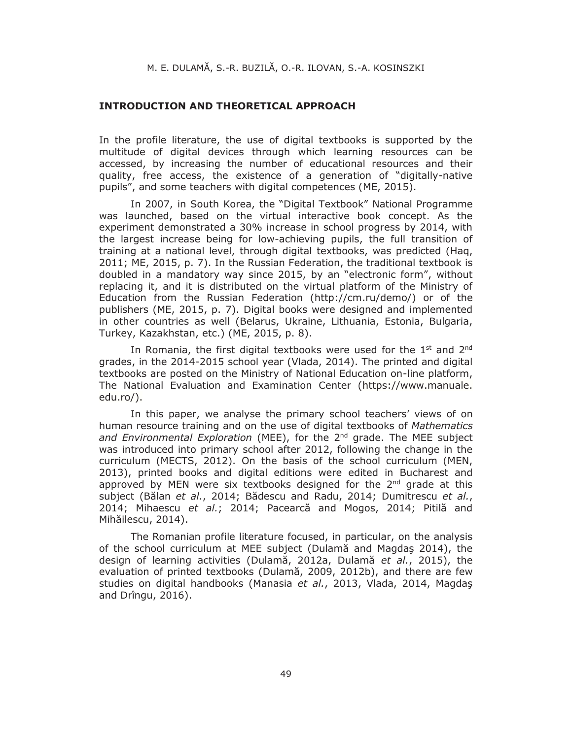#### **INTRODUCTION AND THEORETICAL APPROACH**

In the profile literature, the use of digital textbooks is supported by the multitude of digital devices through which learning resources can be accessed, by increasing the number of educational resources and their quality, free access, the existence of a generation of "digitally-native pupils", and some teachers with digital competences (ME, 2015).

In 2007, in South Korea, the "Digital Textbook" National Programme was launched, based on the virtual interactive book concept. As the experiment demonstrated a 30% increase in school progress by 2014, with the largest increase being for low-achieving pupils, the full transition of training at a national level, through digital textbooks, was predicted (Haq, 2011; ME, 2015, p. 7). In the Russian Federation, the traditional textbook is doubled in a mandatory way since 2015, by an "electronic form", without replacing it, and it is distributed on the virtual platform of the Ministry of Education from the Russian Federation (http://cm.ru/demo/) or of the publishers (ME, 2015, p. 7). Digital books were designed and implemented in other countries as well (Belarus, Ukraine, Lithuania, Estonia, Bulgaria, Turkey, Kazakhstan, etc.) (ME, 2015, p. 8).

In Romania, the first digital textbooks were used for the  $1<sup>st</sup>$  and  $2<sup>nd</sup>$ grades, in the 2014-2015 school year (Vlada, 2014). The printed and digital textbooks are posted on the Ministry of National Education on-line platform, The National Evaluation and Examination Center (https://www.manuale. edu.ro/).

In this paper, we analyse the primary school teachers' views of on human resource training and on the use of digital textbooks of *Mathematics and Environmental Exploration* (MEE), for the 2nd grade. The MEE subject was introduced into primary school after 2012, following the change in the curriculum (MECTS, 2012). On the basis of the school curriculum (MEN, 2013), printed books and digital editions were edited in Bucharest and approved by MEN were six textbooks designed for the  $2^{nd}$  grade at this subject (Bălan *et al.*, 2014; Bădescu and Radu, 2014; Dumitrescu *et al.*, 2014; Mihaescu *et al.*; 2014; Pacearcă and Mogos, 2014; Pitilă and Mihăilescu, 2014).

The Romanian profile literature focused, in particular, on the analysis of the school curriculum at MEE subject (Dulamă and Magdaş 2014), the design of learning activities (Dulamă, 2012a, Dulamă *et al.*, 2015), the evaluation of printed textbooks (Dulamă, 2009, 2012b), and there are few studies on digital handbooks (Manasia *et al.*, 2013, Vlada, 2014, Magdaş and Drîngu, 2016).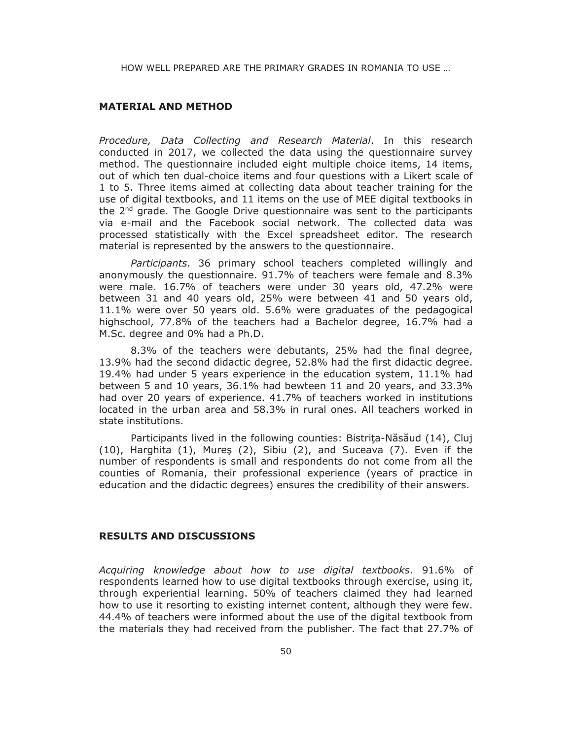#### **MATERIAL AND METHOD**

*Procedure, Data Collecting and Research Material*. In this research conducted in 2017, we collected the data using the questionnaire survey method. The questionnaire included eight multiple choice items, 14 items, out of which ten dual-choice items and four questions with a Likert scale of 1 to 5. Three items aimed at collecting data about teacher training for the use of digital textbooks, and 11 items on the use of MEE digital textbooks in the  $2<sup>nd</sup>$  grade. The Google Drive questionnaire was sent to the participants via e-mail and the Facebook social network. The collected data was processed statistically with the Excel spreadsheet editor. The research material is represented by the answers to the questionnaire.

*Participants.* 36 primary school teachers completed willingly and anonymously the questionnaire. 91.7% of teachers were female and 8.3% were male. 16.7% of teachers were under 30 years old, 47.2% were between 31 and 40 years old, 25% were between 41 and 50 years old, 11.1% were over 50 years old. 5.6% were graduates of the pedagogical highschool, 77.8% of the teachers had a Bachelor degree, 16.7% had a M.Sc. degree and 0% had a Ph.D.

8.3% of the teachers were debutants, 25% had the final degree, 13.9% had the second didactic degree, 52.8% had the first didactic degree. 19.4% had under 5 years experience in the education system, 11.1% had between 5 and 10 years, 36.1% had bewteen 11 and 20 years, and 33.3% had over 20 years of experience. 41.7% of teachers worked in institutions located in the urban area and 58.3% in rural ones. All teachers worked in state institutions.

Participants lived in the following counties: Bistriţa-Năsăud (14), Cluj (10), Harghita (1), Mureş (2), Sibiu (2), and Suceava (7). Even if the number of respondents is small and respondents do not come from all the counties of Romania, their professional experience (years of practice in education and the didactic degrees) ensures the credibility of their answers.

# **RESULTS AND DISCUSSIONS**

*Acquiring knowledge about how to use digital textbooks*. 91.6% of respondents learned how to use digital textbooks through exercise, using it, through experiential learning. 50% of teachers claimed they had learned how to use it resorting to existing internet content, although they were few. 44.4% of teachers were informed about the use of the digital textbook from the materials they had received from the publisher. The fact that 27.7% of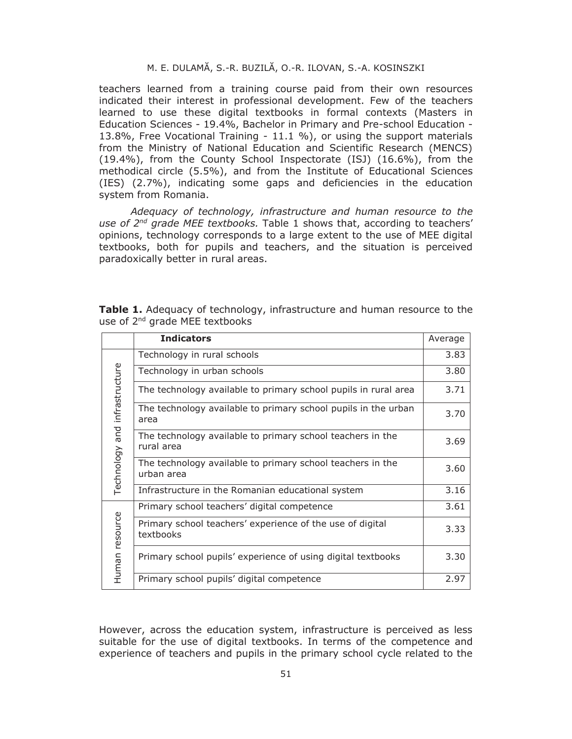teachers learned from a training course paid from their own resources indicated their interest in professional development. Few of the teachers learned to use these digital textbooks in formal contexts (Masters in Education Sciences - 19.4%, Bachelor in Primary and Pre-school Education - 13.8%, Free Vocational Training - 11.1 %), or using the support materials from the Ministry of National Education and Scientific Research (MENCS) (19.4%), from the County School Inspectorate (ISJ) (16.6%), from the methodical circle (5.5%), and from the Institute of Educational Sciences (IES) (2.7%), indicating some gaps and deficiencies in the education system from Romania.

*Adequacy of technology, infrastructure and human resource to the use of 2nd grade MEE textbooks.* Table 1 shows that, according to teachers' opinions, technology corresponds to a large extent to the use of MEE digital textbooks, both for pupils and teachers, and the situation is perceived paradoxically better in rural areas.

|                               | <b>Indicators</b>                                                        | Average |
|-------------------------------|--------------------------------------------------------------------------|---------|
| Technology and infrastructure | Technology in rural schools                                              | 3.83    |
|                               | Technology in urban schools                                              | 3.80    |
|                               | The technology available to primary school pupils in rural area          | 3.71    |
|                               | The technology available to primary school pupils in the urban<br>area   | 3.70    |
|                               | The technology available to primary school teachers in the<br>rural area | 3.69    |
|                               | The technology available to primary school teachers in the<br>urban area | 3.60    |
|                               | Infrastructure in the Romanian educational system                        | 3.16    |
| Human resource                | Primary school teachers' digital competence                              | 3.61    |
|                               | Primary school teachers' experience of the use of digital<br>textbooks   | 3.33    |
|                               | Primary school pupils' experience of using digital textbooks             | 3.30    |
|                               | Primary school pupils' digital competence                                | 2.97    |

**Table 1.** Adequacy of technology, infrastructure and human resource to the use of 2<sup>nd</sup> grade MEE textbooks

However, across the education system, infrastructure is perceived as less suitable for the use of digital textbooks. In terms of the competence and experience of teachers and pupils in the primary school cycle related to the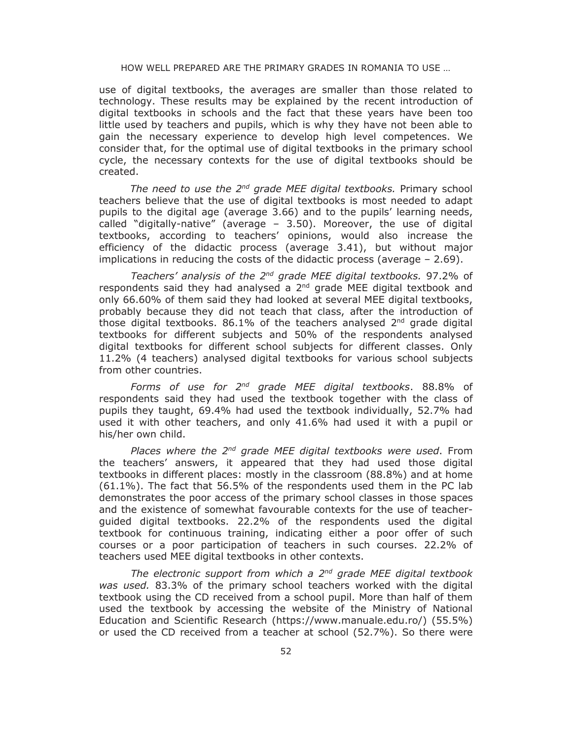use of digital textbooks, the averages are smaller than those related to technology. These results may be explained by the recent introduction of digital textbooks in schools and the fact that these years have been too little used by teachers and pupils, which is why they have not been able to gain the necessary experience to develop high level competences. We consider that, for the optimal use of digital textbooks in the primary school cycle, the necessary contexts for the use of digital textbooks should be created.

*The need to use the 2nd grade MEE digital textbooks.* Primary school teachers believe that the use of digital textbooks is most needed to adapt pupils to the digital age (average 3.66) and to the pupils' learning needs, called "digitally-native" (average – 3.50). Moreover, the use of digital textbooks, according to teachers' opinions, would also increase the efficiency of the didactic process (average 3.41), but without major implications in reducing the costs of the didactic process (average – 2.69).

*Teachers' analysis of the 2nd grade MEE digital textbooks.* 97.2% of respondents said they had analysed a  $2<sup>nd</sup>$  grade MEE digital textbook and only 66.60% of them said they had looked at several MEE digital textbooks, probably because they did not teach that class, after the introduction of those digital textbooks. 86.1% of the teachers analysed  $2<sup>nd</sup>$  grade digital textbooks for different subjects and 50% of the respondents analysed digital textbooks for different school subjects for different classes. Only 11.2% (4 teachers) analysed digital textbooks for various school subjects from other countries.

*Forms of use for 2nd grade MEE digital textbooks*. 88.8% of respondents said they had used the textbook together with the class of pupils they taught, 69.4% had used the textbook individually, 52.7% had used it with other teachers, and only 41.6% had used it with a pupil or his/her own child.

*Places where the 2nd grade MEE digital textbooks were used*. From the teachers' answers, it appeared that they had used those digital textbooks in different places: mostly in the classroom (88.8%) and at home (61.1%). The fact that 56.5% of the respondents used them in the PC lab demonstrates the poor access of the primary school classes in those spaces and the existence of somewhat favourable contexts for the use of teacherguided digital textbooks. 22.2% of the respondents used the digital textbook for continuous training, indicating either a poor offer of such courses or a poor participation of teachers in such courses. 22.2% of teachers used MEE digital textbooks in other contexts.

*The electronic support from which a 2nd grade MEE digital textbook was used.* 83.3% of the primary school teachers worked with the digital textbook using the CD received from a school pupil. More than half of them used the textbook by accessing the website of the Ministry of National Education and Scientific Research (https://www.manuale.edu.ro/) (55.5%) or used the CD received from a teacher at school (52.7%). So there were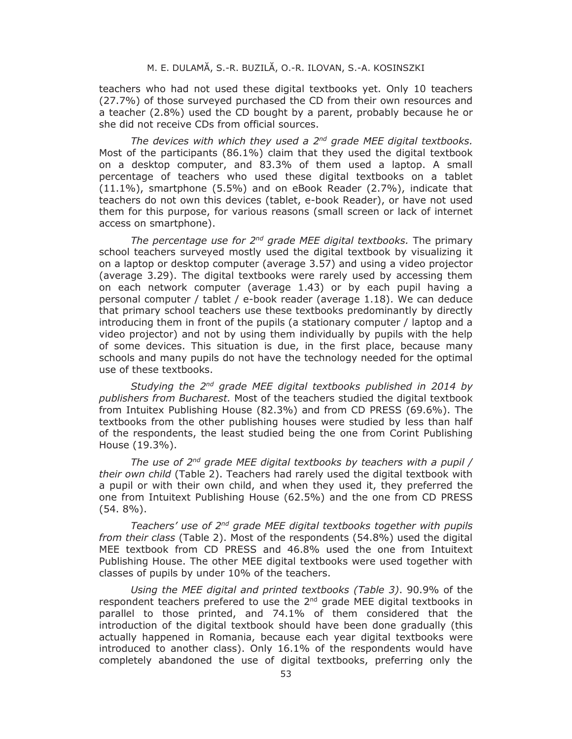teachers who had not used these digital textbooks yet. Only 10 teachers (27.7%) of those surveyed purchased the CD from their own resources and a teacher (2.8%) used the CD bought by a parent, probably because he or she did not receive CDs from official sources.

*The devices with which they used a 2nd grade MEE digital textbooks.* Most of the participants (86.1%) claim that they used the digital textbook on a desktop computer, and 83.3% of them used a laptop. A small percentage of teachers who used these digital textbooks on a tablet (11.1%), smartphone (5.5%) and on eBook Reader (2.7%), indicate that teachers do not own this devices (tablet, e-book Reader), or have not used them for this purpose, for various reasons (small screen or lack of internet access on smartphone).

*The percentage use for 2nd grade MEE digital textbooks.* The primary school teachers surveyed mostly used the digital textbook by visualizing it on a laptop or desktop computer (average 3.57) and using a video projector (average 3.29). The digital textbooks were rarely used by accessing them on each network computer (average 1.43) or by each pupil having a personal computer / tablet / e-book reader (average 1.18). We can deduce that primary school teachers use these textbooks predominantly by directly introducing them in front of the pupils (a stationary computer / laptop and a video projector) and not by using them individually by pupils with the help of some devices. This situation is due, in the first place, because many schools and many pupils do not have the technology needed for the optimal use of these textbooks.

*Studying the 2nd grade MEE digital textbooks published in 2014 by publishers from Bucharest.* Most of the teachers studied the digital textbook from Intuitex Publishing House (82.3%) and from CD PRESS (69.6%). The textbooks from the other publishing houses were studied by less than half of the respondents, the least studied being the one from Corint Publishing House (19.3%).

*The use of 2nd grade MEE digital textbooks by teachers with a pupil / their own child* (Table 2). Teachers had rarely used the digital textbook with a pupil or with their own child, and when they used it, they preferred the one from Intuitext Publishing House (62.5%) and the one from CD PRESS (54. 8%).

*Teachers' use of 2nd grade MEE digital textbooks together with pupils from their class* (Table 2). Most of the respondents (54.8%) used the digital MEE textbook from CD PRESS and 46.8% used the one from Intuitext Publishing House. The other MEE digital textbooks were used together with classes of pupils by under 10% of the teachers.

*Using the MEE digital and printed textbooks (Table 3)*. 90.9% of the respondent teachers prefered to use the  $2<sup>nd</sup>$  grade MEE digital textbooks in parallel to those printed, and 74.1% of them considered that the introduction of the digital textbook should have been done gradually (this actually happened in Romania, because each year digital textbooks were introduced to another class). Only 16.1% of the respondents would have completely abandoned the use of digital textbooks, preferring only the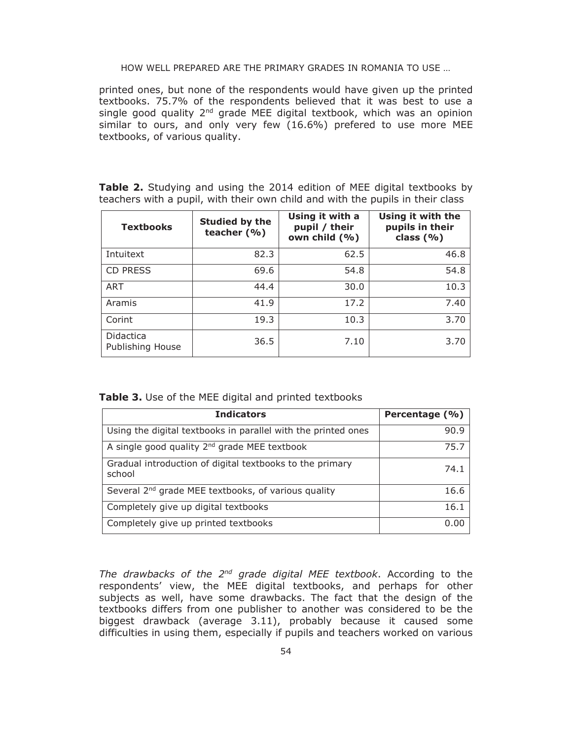printed ones, but none of the respondents would have given up the printed textbooks. 75.7% of the respondents believed that it was best to use a single good quality  $2<sup>nd</sup>$  grade MEE digital textbook, which was an opinion similar to ours, and only very few (16.6%) prefered to use more MEE textbooks, of various quality.

**Table 2.** Studying and using the 2014 edition of MEE digital textbooks by teachers with a pupil, with their own child and with the pupils in their class

| <b>Textbooks</b>              | Studied by the<br>teacher $(% )$ | Using it with a<br>pupil / their<br>own child (%) | Using it with the<br>pupils in their<br>class $(% )$ |
|-------------------------------|----------------------------------|---------------------------------------------------|------------------------------------------------------|
| Intuitext                     | 82.3                             | 62.5                                              | 46.8                                                 |
| <b>CD PRESS</b>               | 69.6                             | 54.8                                              | 54.8                                                 |
| <b>ART</b>                    | 44.4                             | 30.0                                              | 10.3                                                 |
| Aramis                        | 41.9                             | 17.2                                              | 7.40                                                 |
| Corint                        | 19.3                             | 10.3                                              | 3.70                                                 |
| Didactica<br>Publishing House | 36.5                             | 7.10                                              | 3.70                                                 |

**Table 3.** Use of the MEE digital and printed textbooks

| <b>Indicators</b>                                                  | Percentage (%) |
|--------------------------------------------------------------------|----------------|
| Using the digital textbooks in parallel with the printed ones      | 90.9           |
| A single good quality $2^{nd}$ grade MEE textbook                  | 75.7           |
| Gradual introduction of digital textbooks to the primary<br>school | 74.1           |
| Several 2 <sup>nd</sup> grade MEE textbooks, of various quality    | 16.6           |
| Completely give up digital textbooks                               | 16.1           |
| Completely give up printed textbooks                               | n nr           |

*The drawbacks of the 2nd grade digital MEE textbook*. According to the respondents' view, the MEE digital textbooks, and perhaps for other subjects as well, have some drawbacks. The fact that the design of the textbooks differs from one publisher to another was considered to be the biggest drawback (average 3.11), probably because it caused some difficulties in using them, especially if pupils and teachers worked on various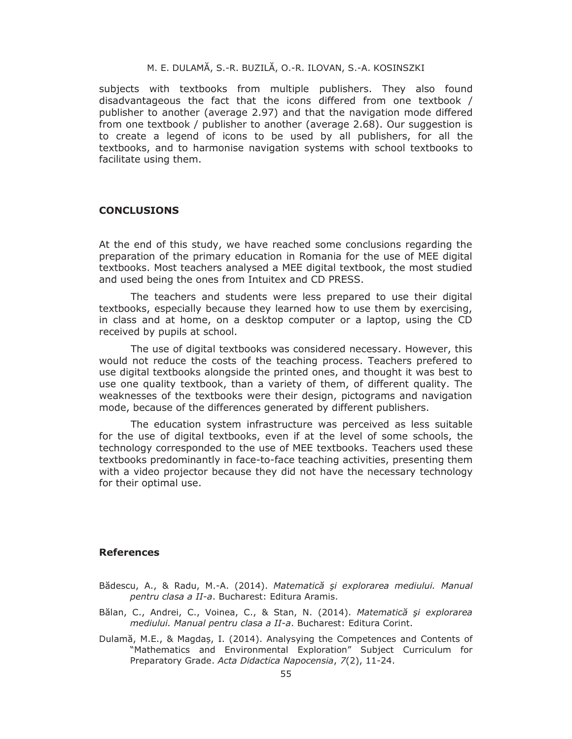subjects with textbooks from multiple publishers. They also found disadvantageous the fact that the icons differed from one textbook / publisher to another (average 2.97) and that the navigation mode differed from one textbook / publisher to another (average 2.68). Our suggestion is to create a legend of icons to be used by all publishers, for all the textbooks, and to harmonise navigation systems with school textbooks to facilitate using them.

### **CONCLUSIONS**

At the end of this study, we have reached some conclusions regarding the preparation of the primary education in Romania for the use of MEE digital textbooks. Most teachers analysed a MEE digital textbook, the most studied and used being the ones from Intuitex and CD PRESS.

The teachers and students were less prepared to use their digital textbooks, especially because they learned how to use them by exercising, in class and at home, on a desktop computer or a laptop, using the CD received by pupils at school.

The use of digital textbooks was considered necessary. However, this would not reduce the costs of the teaching process. Teachers prefered to use digital textbooks alongside the printed ones, and thought it was best to use one quality textbook, than a variety of them, of different quality. The weaknesses of the textbooks were their design, pictograms and navigation mode, because of the differences generated by different publishers.

The education system infrastructure was perceived as less suitable for the use of digital textbooks, even if at the level of some schools, the technology corresponded to the use of MEE textbooks. Teachers used these textbooks predominantly in face-to-face teaching activities, presenting them with a video projector because they did not have the necessary technology for their optimal use.

#### **References**

- Bădescu, A., & Radu, M.-A. (2014). *Matematică şi explorarea mediului. Manual pentru clasa a II-a*. Bucharest: Editura Aramis.
- Bălan, C., Andrei, C., Voinea, C., & Stan, N. (2014). *Matematică şi explorarea mediului. Manual pentru clasa a II-a*. Bucharest: Editura Corint.
- Dulamă, M.E., & Magdaș, I. (2014). Analysying the Competences and Contents of "Mathematics and Environmental Exploration" Subject Curriculum for Preparatory Grade. *Acta Didactica Napocensia*, *7*(2), 11-24.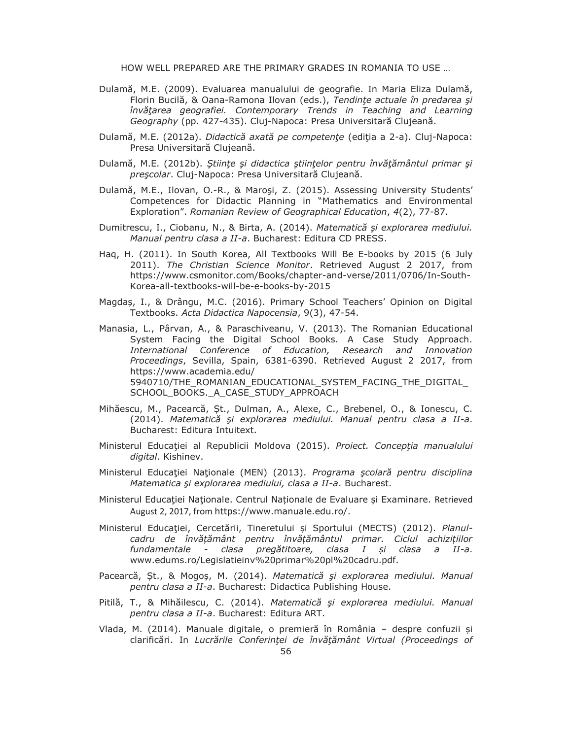- Dulamă, M.E. (2009). Evaluarea manualului de geografie. In Maria Eliza Dulamă, Florin Bucilă, & Oana-Ramona Ilovan (eds.), *Tendinţe actuale în predarea şi învăţarea geografiei. Contemporary Trends in Teaching and Learning Geography* (pp. 427-435). Cluj-Napoca: Presa Universitară Clujeană.
- Dulamă, M.E. (2012a). *Didactică axată pe competenţe* (ediţia a 2-a). Cluj-Napoca: Presa Universitară Clujeană.
- Dulamă, M.E. (2012b). *Ştiinţe şi didactica ştiinţelor pentru învăţământul primar şi preşcolar*. Cluj-Napoca: Presa Universitară Clujeană.
- Dulamă, M.E., Ilovan, O.-R., & Maroşi, Z. (2015). Assessing University Students' Competences for Didactic Planning in "Mathematics and Environmental Exploration". *Romanian Review of Geographical Education*, *4*(2), 77-87.
- Dumitrescu, I., Ciobanu, N., & Birta, A. (2014). *Matematică şi explorarea mediului. Manual pentru clasa a II-a*. Bucharest: Editura CD PRESS.
- Haq, H. (2011). In South Korea, All Textbooks Will Be E-books by 2015 (6 July 2011). *The Christian Science Monitor*. Retrieved August 2 2017, from https://www.csmonitor.com/Books/chapter-and-verse/2011/0706/In-South-Korea-all-textbooks-will-be-e-books-by-2015
- Magdaș, I., & Drângu, M.C. (2016). Primary School Teachers' Opinion on Digital Textbooks. *Acta Didactica Napocensia*, 9(3), 47-54.
- Manasia, L., Pârvan, A., & Paraschiveanu, V. (2013). The Romanian Educational System Facing the Digital School Books. A Case Study Approach. *International Conference of Education, Research and Innovation Proceedings*, Sevilla, Spain, 6381-6390. Retrieved August 2 2017, from https://www.academia.edu/ 5940710/THE\_ROMANIAN\_EDUCATIONAL\_SYSTEM\_FACING\_THE\_DIGITAL\_ SCHOOL BOOKS. A CASE STUDY APPROACH
- Mihăescu, M., Pacearcă, Șt., Dulman, A., Alexe, C., Brebenel, O., & Ionescu, C. (2014). *Matematică şi explorarea mediului. Manual pentru clasa a II-a*. Bucharest: Editura Intuitext.
- Ministerul Educaţiei al Republicii Moldova (2015). *Proiect. Concepţia manualului digital*. Kishinev.
- Ministerul Educaţiei Naţionale (MEN) (2013). *Programa şcolară pentru disciplina Matematica şi explorarea mediului, clasa a II-a*. Bucharest.
- Ministerul Educației Naționale. Centrul Naționale de Evaluare și Examinare. Retrieved August 2, 2017, from https://www.manuale.edu.ro/.
- Ministerul Educaţiei, Cercetării, Tineretului și Sportului (MECTS) (2012). *Planulcadru de învățământ pentru învățământul primar. Ciclul achizițiilor fundamentale - clasa pregătitoare, clasa I și clasa a II-a*. www.edums.ro/Legislatieinv%20primar%20pl%20cadru.pdf.
- Pacearcă, Șt., & Mogoș, M. (2014). *Matematică şi explorarea mediului. Manual pentru clasa a II-a*. Bucharest: Didactica Publishing House.
- Pitilă, T., & Mihăilescu, C. (2014). *Matematică şi explorarea mediului. Manual pentru clasa a II-a*. Bucharest: Editura ART.
- Vlada, M. (2014). Manuale digitale, o premieră în România despre confuzii și clarificări. In *Lucrările Conferinţei de Ȋnvăţământ Virtual (Proceedings of*